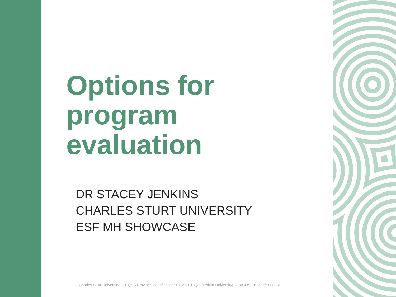**Options for program evaluation**

DR STACEY JENKINS CHARLES STURT UNIVERSITY ESF MH SHOWCASE

Charles Sturt University - TEQSA Provider Identification: PRV12018 (Australian University). CRICOS Provider: 00005F.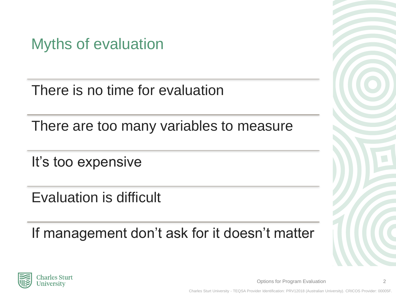Myths of evaluation

There is no time for evaluation

There are too many variables to measure

It's too expensive

Evaluation is difficult

If management don't ask for it doesn't matter



Options for Program Evaluation 2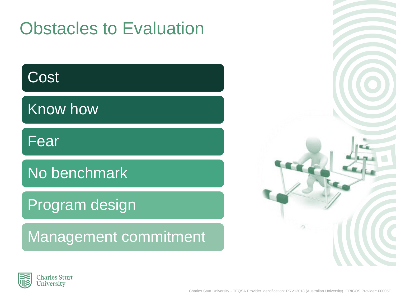## Obstacles to Evaluation

#### **Cost**

Know how

Fear

#### No benchmark

#### Program design

#### Management commitment



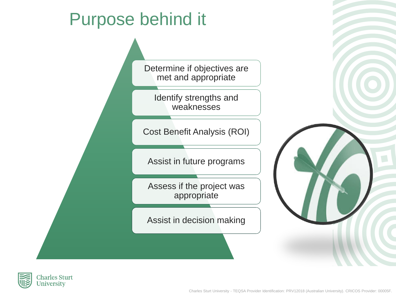## Purpose behind it

Determine if objectives are met and appropriate

Identify strengths and weaknesses

Cost Benefit Analysis (ROI)

Assist in future programs

Assess if the project was appropriate

Assist in decision making



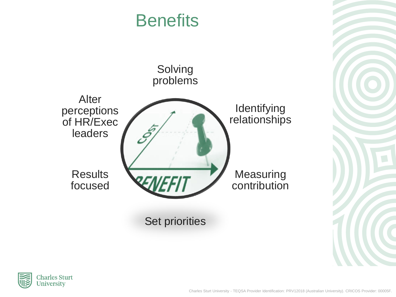#### **Benefits**



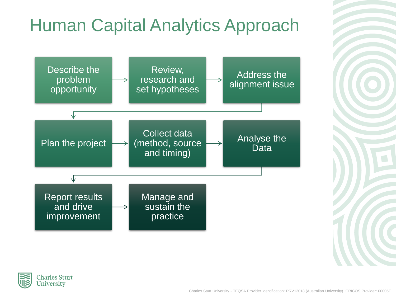## Human Capital Analytics Approach



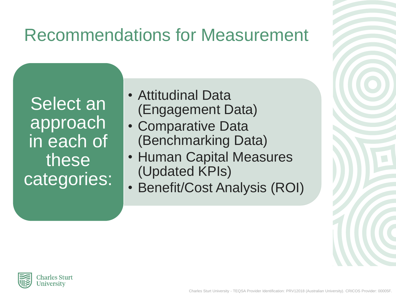## Recommendations for Measurement

Select an approach in each of these categories:

- Attitudinal Data (Engagement Data)
- Comparative Data (Benchmarking Data)
- Human Capital Measures (Updated KPIs)
- Benefit/Cost Analysis (ROI)

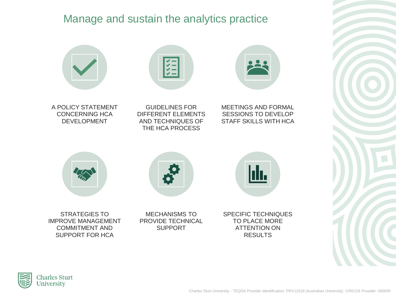#### Manage and sustain the analytics practice



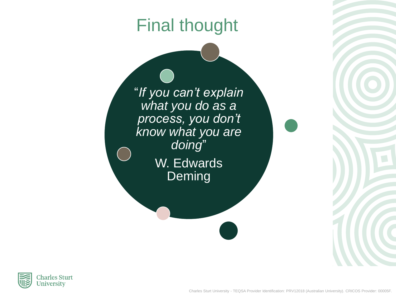### Final thought

"*If you can't explain what you do as a process, you don't know what you are doing*" W. Edwards

Deming